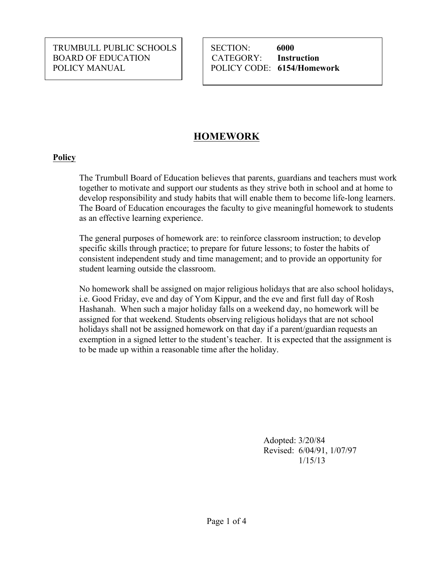TRUMBULL PUBLIC SCHOOLS | | SECTION: **6000**  BOARD OF EDUCATION CATEGORY: **Instruction**  POLICY MANUAL POLICY CODE: **6154/Homework** 

# **HOMEWORK**

#### **Policy**

 The Trumbull Board of Education believes that parents, guardians and teachers must work together to motivate and support our students as they strive both in school and at home to develop responsibility and study habits that will enable them to become life-long learners. The Board of Education encourages the faculty to give meaningful homework to students. as an effective learning experience.

 specific skills through practice; to prepare for future lessons; to foster the habits of student learning outside the classroom. The general purposes of homework are: to reinforce classroom instruction; to develop consistent independent study and time management; and to provide an opportunity for

 Hashanah. When such a major holiday falls on a weekend day, no homework will be No homework shall be assigned on major religious holidays that are also school holidays, i.e. Good Friday, eve and day of Yom Kippur, and the eve and first full day of Rosh assigned for that weekend. Students observing religious holidays that are not school holidays shall not be assigned homework on that day if a parent/guardian requests an exemption in a signed letter to the student's teacher. It is expected that the assignment is to be made up within a reasonable time after the holiday.

> Adopted: 3/20/84 Revised: 6/04/91, 1/07/97 1/15/13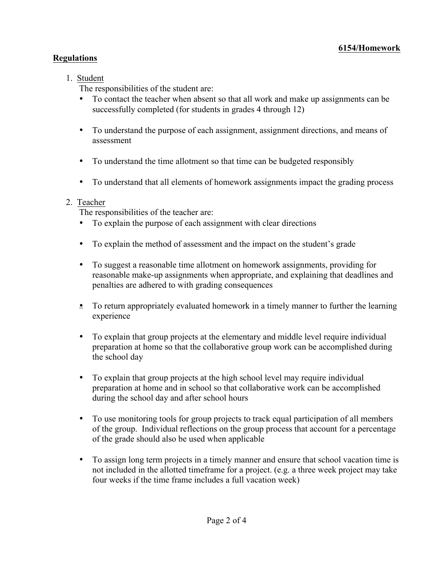# **Regulations**

# 1. Student

The responsibilities of the student are:

- To contact the teacher when absent so that all work and make up assignments can be successfully completed (for students in grades 4 through 12)
- assessment • To understand the purpose of each assignment, assignment directions, and means of
- To understand the time allotment so that time can be budgeted responsibly
- To understand that all elements of homework assignments impact the grading process

# 2. Teacher

The responsibilities of the teacher are:

- To explain the purpose of each assignment with clear directions
- To explain the method of assessment and the impact on the student's grade
- To suggest a reasonable time allotment on homework assignments, providing for reasonable make-up assignments when appropriate, and explaining that deadlines and penalties are adhered to with grading consequences
- To return appropriately evaluated homework in a timely manner to further the learning experience
- the school day • To explain that group projects at the elementary and middle level require individual preparation at home so that the collaborative group work can be accomplished during
- during the school day and after school hours • To explain that group projects at the high school level may require individual preparation at home and in school so that collaborative work can be accomplished
- of the grade should also be used when applicable • To use monitoring tools for group projects to track equal participation of all members of the group. Individual reflections on the group process that account for a percentage
- not included in the allotted timeframe for a project. (e.g. a three week project may take • To assign long term projects in a timely manner and ensure that school vacation time is four weeks if the time frame includes a full vacation week)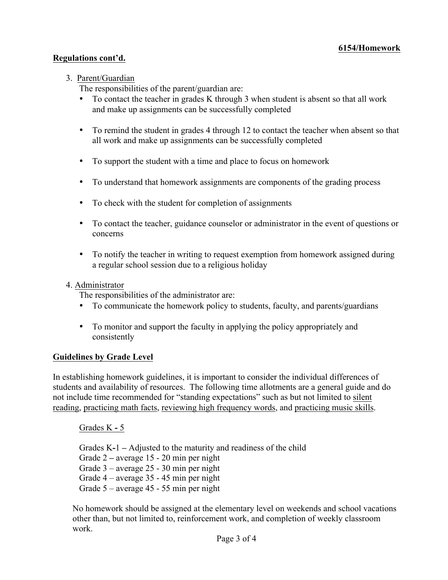#### **Regulations cont'd.**

#### 3. Parent/Guardian

The responsibilities of the parent/guardian are:

- To contact the teacher in grades K through 3 when student is absent so that all work and make up assignments can be successfully completed
- • To remind the student in grades 4 through 12 to contact the teacher when absent so that all work and make up assignments can be successfully completed
- To support the student with a time and place to focus on homework
- To understand that homework assignments are components of the grading process
- To check with the student for completion of assignments
- To contact the teacher, guidance counselor or administrator in the event of questions or concerns
- To notify the teacher in writing to request exemption from homework assigned during a regular school session due to a religious holiday

#### 4. Administrator

The responsibilities of the administrator are:

- To communicate the homework policy to students, faculty, and parents/guardians
- To monitor and support the faculty in applying the policy appropriately and consistently

#### **Guidelines by Grade Level**

 In establishing homework guidelines, it is important to consider the individual differences of not include time recommended for "standing expectations" such as but not limited to silent students and availability of resources. The following time allotments are a general guide and do reading, practicing math facts, reviewing high frequency words, and practicing music skills.

Grades K **-** 5

Grade  $5$  – average  $45$  -  $55$  min per night Grades K**-**1 **–** Adjusted to the maturity and readiness of the child Grade 2 **–** average 15 - 20 min per night Grade 3 – average 25 - 30 min per night Grade 4 – average 35 - 45 min per night

work. No homework should be assigned at the elementary level on weekends and school vacations other than, but not limited to, reinforcement work, and completion of weekly classroom work.<br>Page 3 of 4